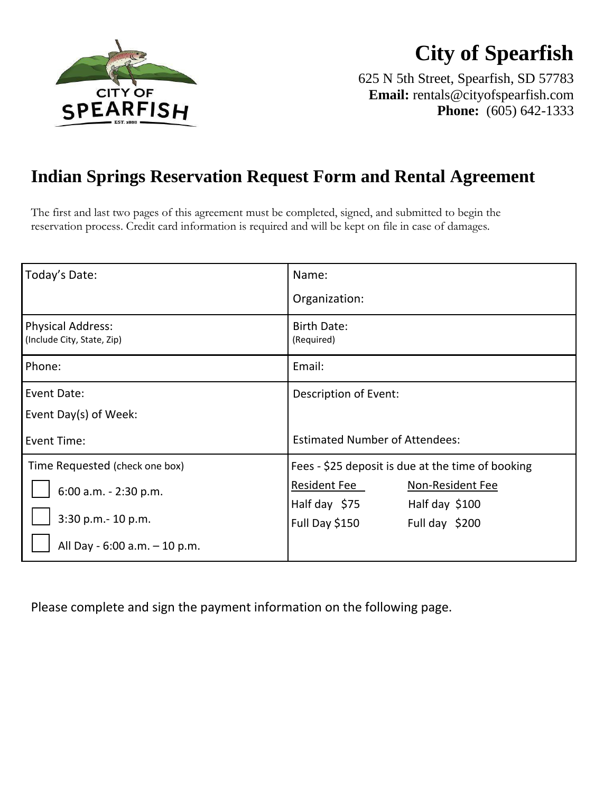

# **City of Spearfish**

625 N 5th Street, Spearfish, SD 57783 **Email:** rentals@cityofspearfish.com **Phone:** (605) 642-1333

## **Indian Springs Reservation Request Form and Rental Agreement**

The first and last two pages of this agreement must be completed, signed, and submitted to begin the reservation process. Credit card information is required and will be kept on file in case of damages.

| Today's Date:                                          | Name:                                             |  |  |
|--------------------------------------------------------|---------------------------------------------------|--|--|
|                                                        | Organization:                                     |  |  |
| <b>Physical Address:</b><br>(Include City, State, Zip) | <b>Birth Date:</b><br>(Required)                  |  |  |
| Phone:                                                 | Email:                                            |  |  |
| Event Date:                                            | Description of Event:                             |  |  |
| Event Day(s) of Week:                                  |                                                   |  |  |
| <b>Event Time:</b>                                     | <b>Estimated Number of Attendees:</b>             |  |  |
| Time Requested (check one box)                         | Fees - \$25 deposit is due at the time of booking |  |  |
| 6:00 a.m. - 2:30 p.m.                                  | Resident Fee<br>Non-Resident Fee                  |  |  |
|                                                        | Half day \$75<br>Half day \$100                   |  |  |
| 3:30 p.m.- 10 p.m.                                     | Full Day \$150<br>Full day $$200$                 |  |  |
| All Day - 6:00 a.m. - 10 p.m.                          |                                                   |  |  |

Please complete and sign the payment information on the following page.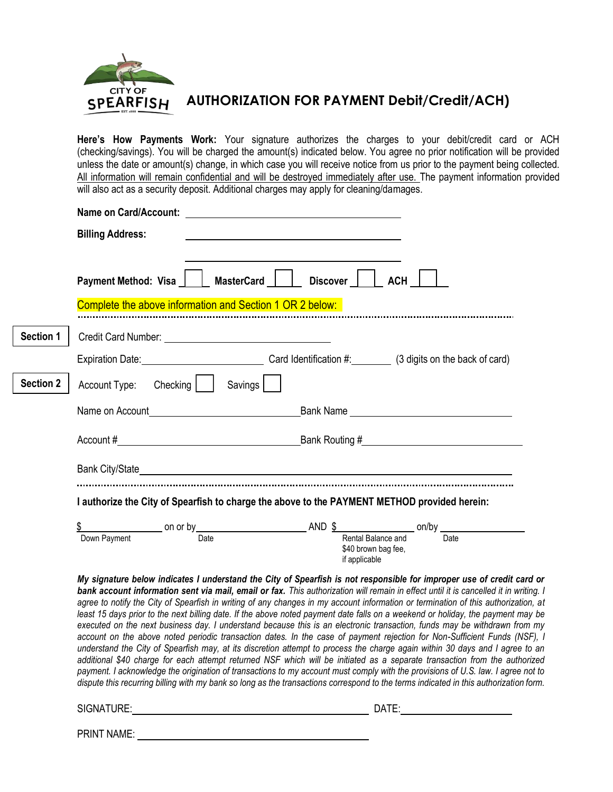

**AUTHORIZATION FOR PAYMENT Debit/Credit/ACH)**

**Here's How Payments Work:** Your signature authorizes the charges to your debit/credit card or ACH (checking/savings). You will be charged the amount(s) indicated below. You agree no prior notification will be provided unless the date or amount(s) change, in which case you will receive notice from us prior to the payment being collected. All information will remain confidential and will be destroyed immediately after use. The payment information provided will also act as a security deposit. Additional charges may apply for cleaning/damages.

|                  | Complete the above information and Section 1 OR 2 below:                                     | Payment Method: Visa     MasterCard     Discover     ACH                                                              |  |  |  |
|------------------|----------------------------------------------------------------------------------------------|-----------------------------------------------------------------------------------------------------------------------|--|--|--|
| Section 1        |                                                                                              |                                                                                                                       |  |  |  |
|                  |                                                                                              | Expiration Date: Carol dentification #: (3 digits on the back of card)                                                |  |  |  |
| <b>Section 2</b> | Account Type: Checking   Savings                                                             |                                                                                                                       |  |  |  |
|                  |                                                                                              |                                                                                                                       |  |  |  |
|                  |                                                                                              |                                                                                                                       |  |  |  |
|                  |                                                                                              |                                                                                                                       |  |  |  |
|                  | I authorize the City of Spearfish to charge the above to the PAYMENT METHOD provided herein: |                                                                                                                       |  |  |  |
|                  |                                                                                              | $\frac{$}{5}$ Down Payment on or by Date Date Rental Balance and Date Down Payment                                    |  |  |  |
|                  |                                                                                              | \$40 brown bag fee,<br>if applicable                                                                                  |  |  |  |
|                  |                                                                                              | My signature below indicates I understand the City of Spearfish is not responsible for improper use of credit card or |  |  |  |

*additional \$40 charge for each attempt returned NSF which will be initiated as a separate transaction from the authorized payment. I acknowledge the origination of transactions to my account must comply with the provisions of U.S. law. I agree not to dispute this recurring billing with my bank so long as the transactions correspond to the terms indicated in this authorization form.*

SIGNATURE: DATE:

PRINT NAME: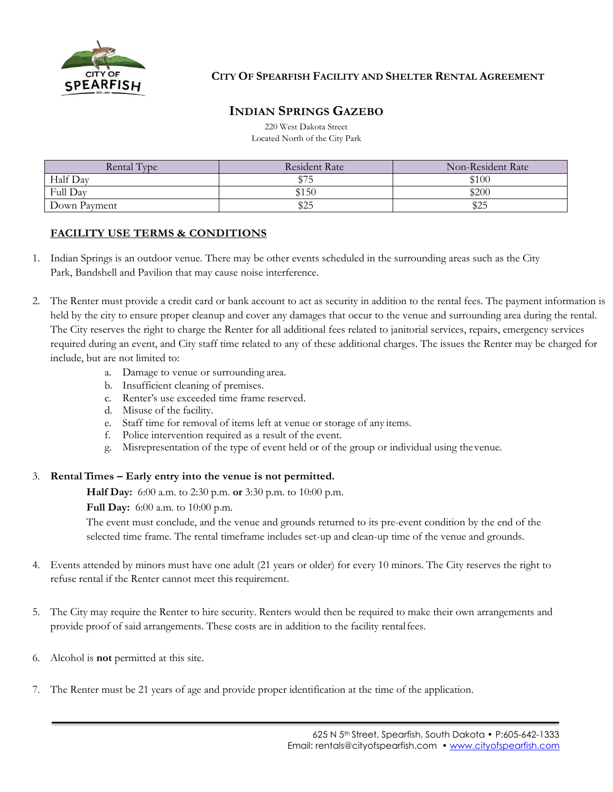

#### **CITY OF SPEARFISH FACILITY AND SHELTER RENTAL AGREEMENT**

### **INDIAN SPRINGS GAZEBO**

220 West Dakota Street Located North of the City Park

| Rental Type  | <b>Resident Rate</b> | Non-Resident Rate |
|--------------|----------------------|-------------------|
| Half Day     | \$75                 | \$100             |
| Full Day     | \$150                | \$200             |
| Down Payment | \$25                 | \$25              |

#### **FACILITY USE TERMS & CONDITIONS**

- 1. Indian Springs is an outdoor venue. There may be other events scheduled in the surrounding areas such as the City Park, Bandshell and Pavilion that may cause noise interference.
- 2. The Renter must provide a credit card or bank account to act as security in addition to the rental fees. The payment information is held by the city to ensure proper cleanup and cover any damages that occur to the venue and surrounding area during the rental. The City reserves the right to charge the Renter for all additional fees related to janitorial services, repairs, emergency services required during an event, and City staff time related to any of these additional charges. The issues the Renter may be charged for include, but are not limited to:
	- a. Damage to venue or surrounding area.
	- b. Insufficient cleaning of premises.
	- c. Renter's use exceeded time frame reserved.
	- d. Misuse of the facility.
	- e. Staff time for removal of items left at venue or storage of any items.
	- f. Police intervention required as a result of the event.
	- g. Misrepresentation of the type of event held or of the group or individual using thevenue.

#### 3. **RentalTimes – Early entry into the venue is not permitted.**

**Half Day:** 6:00 a.m. to 2:30 p.m. **or** 3:30 p.m. to 10:00 p.m.

**Full Day:** 6:00 a.m. to 10:00 p.m.

The event must conclude, and the venue and grounds returned to its pre-event condition by the end of the selected time frame. The rental timeframe includes set-up and clean-up time of the venue and grounds.

- 4. Events attended by minors must have one adult (21 years or older) for every 10 minors. The City reserves the right to refuse rental if the Renter cannot meet this requirement.
- 5. The City may require the Renter to hire security. Renters would then be required to make their own arrangements and provide proof of said arrangements. These costs are in addition to the facility rentalfees.
- 6. Alcohol is **not** permitted at this site.
- 7. The Renter must be 21 years of age and provide proper identification at the time of the application.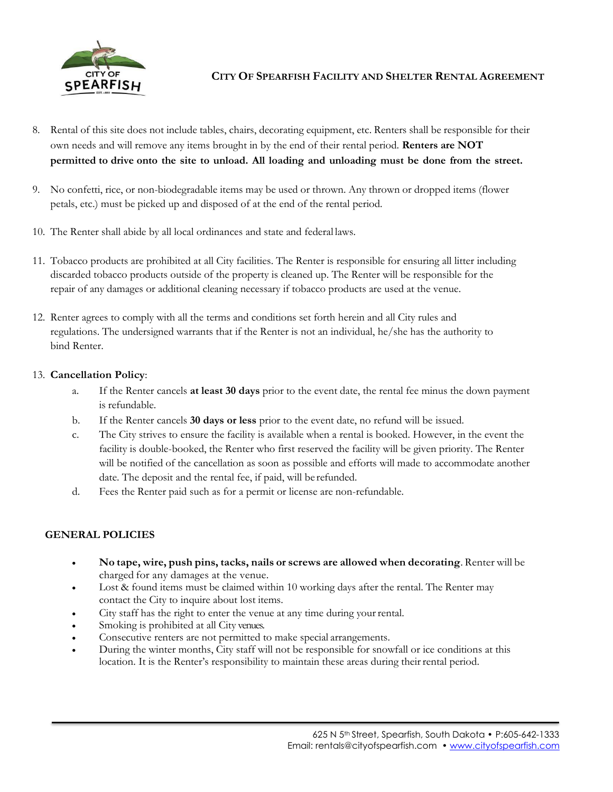

#### **CITY OF SPEARFISH FACILITY AND SHELTER RENTAL AGREEMENT**

- 8. Rental of this site does not include tables, chairs, decorating equipment, etc. Renters shall be responsible for their own needs and will remove any items brought in by the end of their rental period. **Renters are NOT permitted to drive onto the site to unload. All loading and unloading must be done from the street.**
- 9. No confetti, rice, or non-biodegradable items may be used or thrown. Any thrown or dropped items (flower petals, etc.) must be picked up and disposed of at the end of the rental period.
- 10. The Renter shall abide by all local ordinances and state and federal laws.
- 11. Tobacco products are prohibited at all City facilities. The Renter is responsible for ensuring all litter including discarded tobacco products outside of the property is cleaned up. The Renter will be responsible for the repair of any damages or additional cleaning necessary if tobacco products are used at the venue.
- 12. Renter agrees to comply with all the terms and conditions set forth herein and all City rules and regulations. The undersigned warrants that if the Renter is not an individual, he/she has the authority to bind Renter.

#### 13. **Cancellation Policy**:

- a. If the Renter cancels **at least 30 days** prior to the event date, the rental fee minus the down payment is refundable.
- b. If the Renter cancels **30 days or less** prior to the event date, no refund will be issued.
- c. The City strives to ensure the facility is available when a rental is booked. However, in the event the facility is double-booked, the Renter who first reserved the facility will be given priority. The Renter will be notified of the cancellation as soon as possible and efforts will made to accommodate another date. The deposit and the rental fee, if paid, will be refunded.
- d. Fees the Renter paid such as for a permit or license are non-refundable.

#### **GENERAL POLICIES**

- **No tape, wire, push pins, tacks, nails or screws are allowed when decorating**. Renter will be charged for any damages at the venue.
- Lost & found items must be claimed within 10 working days after the rental. The Renter may contact the City to inquire about lost items.
- City staff has the right to enter the venue at any time during your rental.
- Smoking is prohibited at all City venues.
- Consecutive renters are not permitted to make special arrangements.
- During the winter months, City staff will not be responsible for snowfall or ice conditions at this location. It is the Renter's responsibility to maintain these areas during their rental period.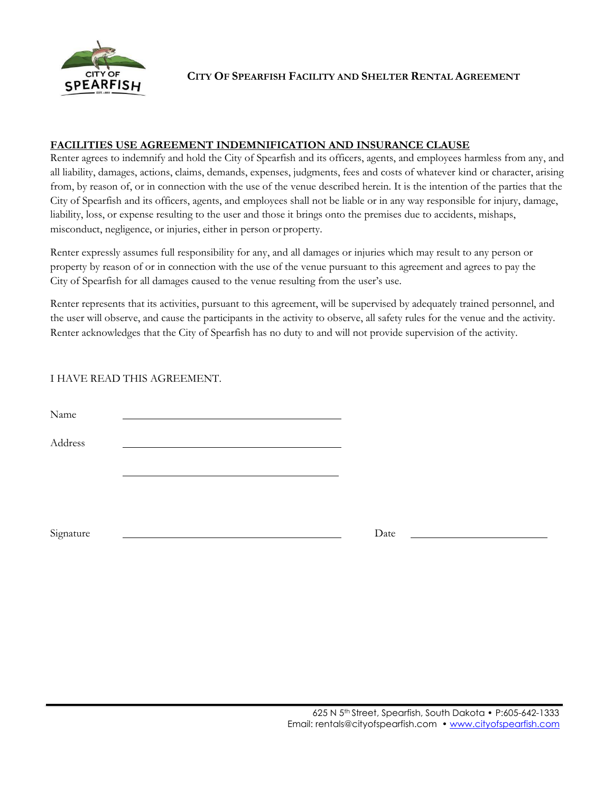

**CITY OF SPEARFISH FACILITY AND SHELTER RENTAL AGREEMENT**

#### **FACILITIES USE AGREEMENT INDEMNIFICATION AND INSURANCE CLAUSE**

Renter agrees to indemnify and hold the City of Spearfish and its officers, agents, and employees harmless from any, and all liability, damages, actions, claims, demands, expenses, judgments, fees and costs of whatever kind or character, arising from, by reason of, or in connection with the use of the venue described herein. It is the intention of the parties that the City of Spearfish and its officers, agents, and employees shall not be liable or in any way responsible for injury, damage, liability, loss, or expense resulting to the user and those it brings onto the premises due to accidents, mishaps, misconduct, negligence, or injuries, either in person or property.

Renter expressly assumes full responsibility for any, and all damages or injuries which may result to any person or property by reason of or in connection with the use of the venue pursuant to this agreement and agrees to pay the City of Spearfish for all damages caused to the venue resulting from the user's use.

Renter represents that its activities, pursuant to this agreement, will be supervised by adequately trained personnel, and the user will observe, and cause the participants in the activity to observe, all safety rules for the venue and the activity. Renter acknowledges that the City of Spearfish has no duty to and will not provide supervision of the activity.

#### I HAVE READ THIS AGREEMENT.

Name

Address

Signature Date